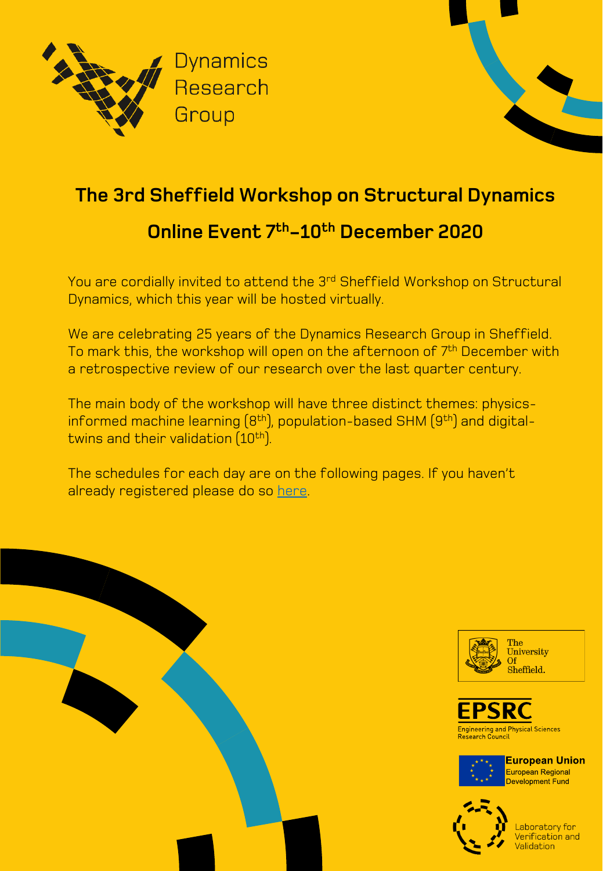



# **The 3rd Sheffield Workshop on Structural Dynamics Online Event 7th-10th December 2020**

#### You are cordially invited to attend the 3rd Sheffield Workshop on Structural Dynamics, which this year will be hosted virtually.

We are celebrating 25 years of the Dynamics Research Group in Sheffield. To mark this, the workshop will open on the afternoon of 7<sup>th</sup> December with a retrospective review of our research over the last quarter century.

The main body of the workshop will have three distinct themes: physicsinformed machine learning (8<sup>th</sup>), population-based SHM (9<sup>th</sup>) and digitaltwins and their validation (10<sup>th</sup>).

The schedules for each day are on the following pages. If you haven't already registered please do so [here](https://www.eventbrite.co.uk/e/the-3rd-sheffield-workshop-on-structural-dynamics-online-event-tickets-127139344201).









**European Union European Regional Development Fund** 

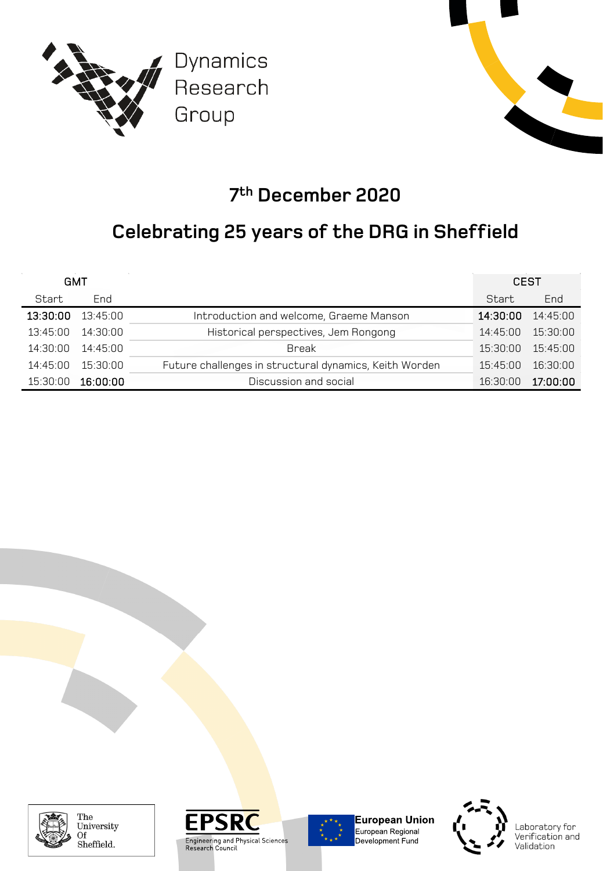



## **7th December 2020**

## **Celebrating 25 years of the DRG in Sheffield**

| GMT      |          |                                                        | <b>CEST</b> |          |
|----------|----------|--------------------------------------------------------|-------------|----------|
| Start    | End      |                                                        | Start       | End      |
| 13:30:00 | 13:45:00 | Introduction and welcome, Graeme Manson                | 14:30:00    | 14.45.00 |
| 13:45:00 | 14:30:00 | Historical perspectives, Jem Rongong                   | 14.45.00    | 15:30:00 |
| 14:30:00 | 14.45.00 | Break                                                  | 15:30:00    | 15:45:00 |
| 14.45.00 | 15:30:00 | Future challenges in structural dynamics, Keith Worden | 15.45.00    | 16:30:00 |
| 15:30:00 | 16:00:00 | Discussion and social                                  | 16:30:00    | 17:00:00 |



The University Of Sheffield.





**European Union** European Regional<br>Development Fund

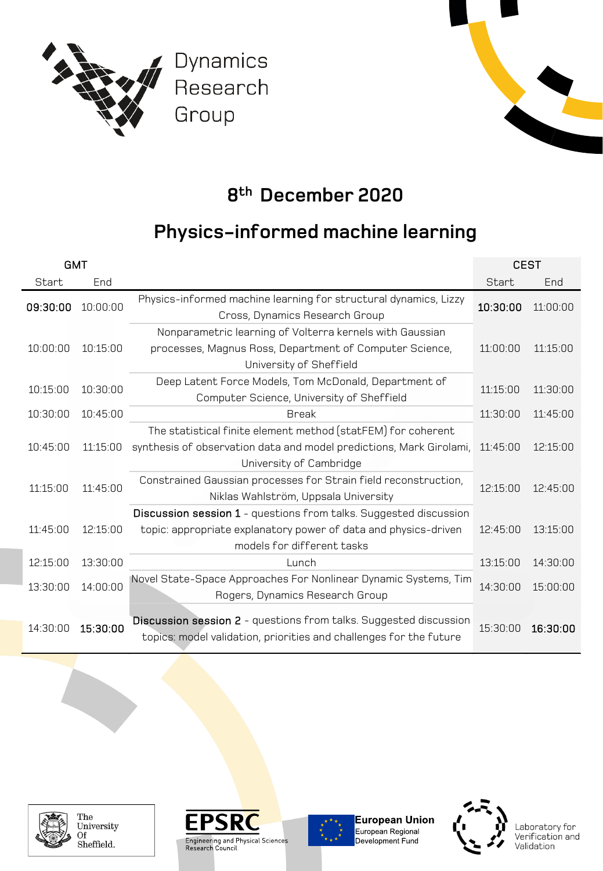



## **8th December 2020**

### **Physics-informed machine learning**

| <b>GMT</b> |                  |                                                                                                                                                                    | <b>CEST</b> |          |
|------------|------------------|--------------------------------------------------------------------------------------------------------------------------------------------------------------------|-------------|----------|
| Start      | End              |                                                                                                                                                                    | Start       | End      |
| 09:30:00   | $10.00 \cdot 00$ | Physics-informed machine learning for structural dynamics, Lizzy<br>Cross, Dynamics Research Group                                                                 | 10:30:00    | 11:00:00 |
| 10:00:00   | 10:15:00         | Nonparametric learning of Volterra kernels with Gaussian<br>processes, Magnus Ross, Department of Computer Science,<br>University of Sheffield                     | 11:00:00    | 11:15:00 |
| 10:15:00   | 10:30:00         | Deep Latent Force Models, Tom McDonald, Department of<br>Computer Science, University of Sheffield                                                                 | 11:15:00    | 11:30:00 |
| 10:30:00   | 10:45:00         | <b>Break</b>                                                                                                                                                       | 11:30:00    | 11:45:00 |
| 10:45:00   | 11:15:00         | The statistical finite element method (statFEM) for coherent<br>synthesis of observation data and model predictions, Mark Girolami,<br>University of Cambridge     | 11:45:00    | 12:15:00 |
| 11:15:00   | 11:45:00         | Constrained Gaussian processes for Strain field reconstruction,<br>Niklas Wahlström, Uppsala University                                                            | 12:15:00    | 12:45:00 |
| 11:45:00   | 12:15:00         | Discussion session 1 - questions from talks. Suggested discussion<br>topic: appropriate explanatory power of data and physics-driven<br>models for different tasks | 12:45:00    | 13:15:00 |
| 12:15:00   | 13:30:00         | Lunch                                                                                                                                                              | 13:15:00    | 14:30:00 |
| 13:30:00   | 14:00:00         | Novel State-Space Approaches For Nonlinear Dynamic Systems, Tim<br>Rogers, Dynamics Research Group                                                                 | 14:30:00    | 15:00:00 |
| 14:30:00   | 15:30:00         | Discussion session 2 - questions from talks. Suggested discussion<br>topics: model validation, priorities and challenges for the future                            | 15:30:00    | 16:30:00 |



The University Of Sheffield.





**European Union** European Regional<br>Development Fund

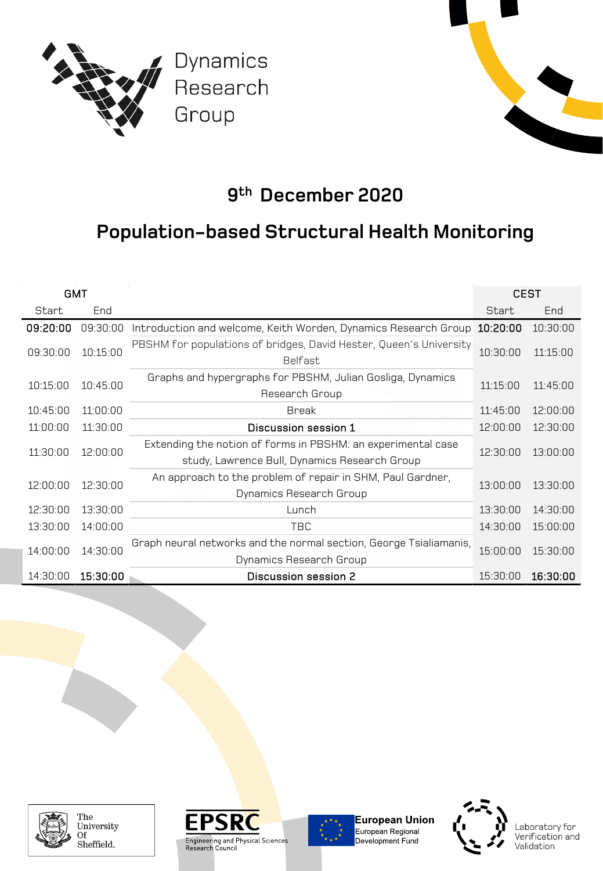

### **9th December 2020**

#### **Population-based Structural Health Monitoring**

| <b>GMT</b> |          |                                                                                                               | <b>CEST</b> |          |
|------------|----------|---------------------------------------------------------------------------------------------------------------|-------------|----------|
| Start      | End      |                                                                                                               | Start       | End      |
| 09:20:00   | 09:30:00 | Introduction and welcome, Keith Worden, Dynamics Research Group                                               | 10:20:00    | 10:30:00 |
| 09:30:00   | 10:15:00 | PBSHM for populations of bridges, David Hester, Queen's University<br><b>Belfast</b>                          | 10:30:00    | 11:15:00 |
| 10:15:00   | 10:45:00 | Graphs and hypergraphs for PBSHM, Julian Gosliga, Dynamics<br>Research Group                                  | 11:15:00    | 11:45:00 |
| 10:45:00   | 11:00:00 | <b>Break</b>                                                                                                  | 11:45:00    | 12:00:00 |
| 11:00:00   | 11:30:00 | Discussion session 1                                                                                          | 12:00:00    | 12:30:00 |
| 11:30:00   | 12:00:00 | Extending the notion of forms in PBSHM: an experimental case<br>study, Lawrence Bull, Dynamics Research Group | 12:30:00    | 13:00:00 |
| 12:00:00   | 12:30:00 | An approach to the problem of repair in SHM, Paul Gardner,<br>Dynamics Research Group                         | 13:00:00    | 13:30:00 |
| 12:30:00   | 13:30:00 | Lunch                                                                                                         | 13:30:00    | 14:30:00 |
| 13:30:00   | 14:00:00 | <b>TBC</b>                                                                                                    | 14:30:00    | 15:00:00 |
| 14:00:00   | 14:30:00 | Graph neural networks and the normal section, George Tsialiamanis,<br>Dynamics Research Group                 | 15:00:00    | 15:30:00 |
| 14:30:00   | 15:30:00 | Discussion session 2                                                                                          | 15:30:00    | 16:30:00 |



The University Of Sheffield.





**European Union** European Regional<br>Development Fund

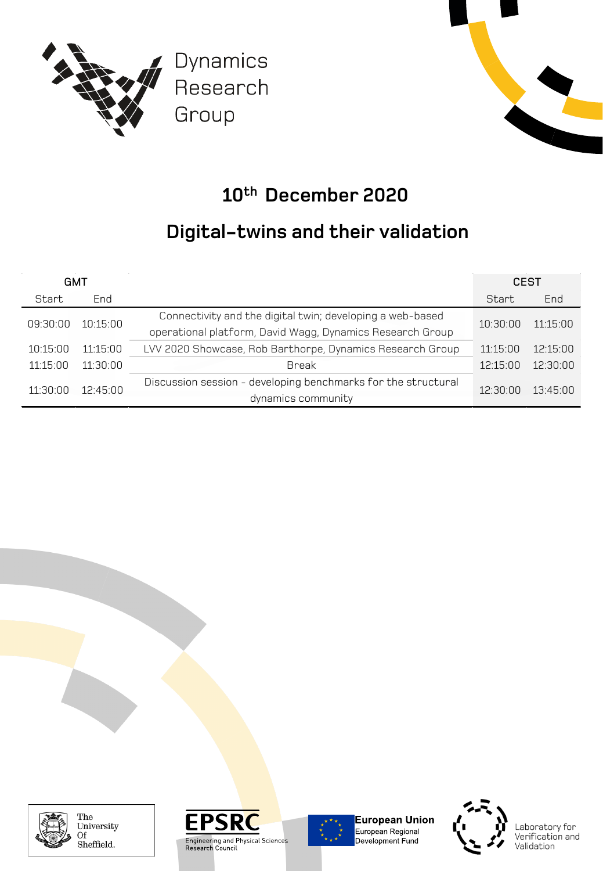



## **10th December 2020**

### **Digital-twins and their validation**

| <b>GMT</b> |          |                                                                                                                        | <b>CEST</b> |          |
|------------|----------|------------------------------------------------------------------------------------------------------------------------|-------------|----------|
| Start      | End      |                                                                                                                        | Start       | End      |
| 09:30:00   | 10:15:00 | Connectivity and the digital twin; developing a web-based<br>operational platform, David Wagg, Dynamics Research Group | 10.30.00    | 11.15.00 |
| 10:15:00   | 11:15:00 | LVV 2020 Showcase, Rob Barthorpe, Dynamics Research Group                                                              | 11:15:00    | 12.15.00 |
| 11:15:00   | 11:30:00 | Break                                                                                                                  | 12.15.00    | 12.30.00 |
| 11:30:00   | 12:45:00 | Discussion session - developing benchmarks for the structural<br>dynamics community                                    | 12.30.00    | 13.45.00 |



The University Of Sheffield.





**European Union** European Regional<br>Development Fund